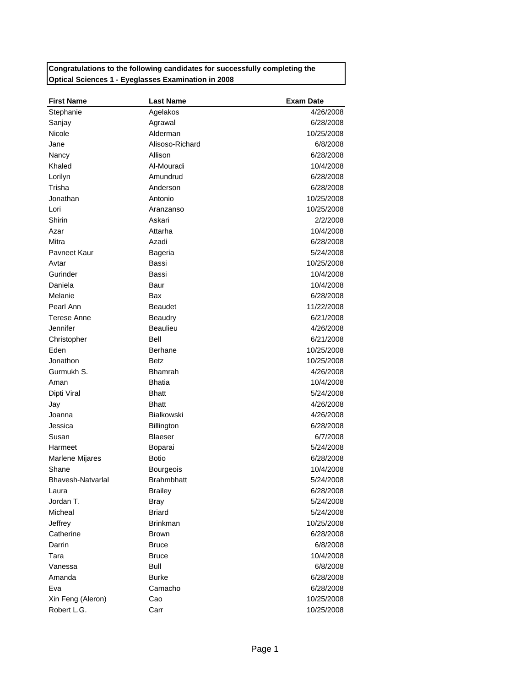## **Congratulations to the following candidates for successfully completing the Optical Sciences 1 - Eyeglasses Examination in 2008**

| 4/26/2008<br>Stephanie<br>Agelakos<br>Agrawal<br>6/28/2008<br>Sanjay<br>Nicole<br>Alderman<br>10/25/2008<br>Alisoso-Richard<br>Jane<br>6/8/2008<br>Nancy<br>Allison<br>6/28/2008<br>Khaled<br>Al-Mouradi<br>10/4/2008<br>Amundrud<br>Lorilyn<br>6/28/2008<br>Trisha<br>Anderson<br>6/28/2008<br>Jonathan<br>Antonio<br>10/25/2008<br>Lori<br>10/25/2008<br>Aranzanso<br>Shirin<br>Askari<br>2/2/2008<br>Attarha<br>10/4/2008<br>Azar<br>Mitra<br>Azadi<br>6/28/2008<br>Payneet Kaur<br>5/24/2008<br>Bageria<br>Bassi<br>10/25/2008<br>Avtar<br>Gurinder<br>Bassi<br>10/4/2008<br>Daniela<br>Baur<br>10/4/2008<br>Melanie<br>6/28/2008<br>Bax<br>Pearl Ann<br><b>Beaudet</b><br>11/22/2008<br>Terese Anne<br>Beaudry<br>6/21/2008<br>Jennifer<br><b>Beaulieu</b><br>4/26/2008<br>Christopher<br>Bell<br>6/21/2008<br>Eden<br><b>Berhane</b><br>10/25/2008<br>Jonathon<br>Betz<br>10/25/2008<br>Gurmukh S.<br><b>Bhamrah</b><br>4/26/2008<br>Aman<br><b>Bhatia</b><br>10/4/2008<br>Dipti Viral<br><b>Bhatt</b><br>5/24/2008<br><b>Bhatt</b><br>4/26/2008<br>Jay<br><b>Bialkowski</b><br>Joanna<br>4/26/2008<br>Jessica<br>6/28/2008<br><b>Billington</b><br>6/7/2008<br>Susan<br><b>Blaeser</b><br>Harmeet<br>5/24/2008<br>Boparai<br><b>Botio</b><br>6/28/2008<br>Marlene Mijares<br>Shane<br>10/4/2008<br>Bourgeois<br>Bhavesh-Natvarlal<br>5/24/2008<br><b>Brahmbhatt</b><br><b>Brailey</b><br>6/28/2008<br>Laura<br>Jordan T.<br><b>Bray</b><br>5/24/2008<br>Micheal<br><b>Briard</b><br>5/24/2008<br>Jeffrey<br><b>Brinkman</b><br>10/25/2008<br>Catherine<br>6/28/2008<br><b>Brown</b><br>Darrin<br><b>Bruce</b><br>6/8/2008<br>Tara<br><b>Bruce</b><br>10/4/2008<br>Vanessa<br><b>Bull</b><br>6/8/2008<br>Amanda<br>Burke<br>6/28/2008 | <b>First Name</b> | <b>Last Name</b> | <b>Exam Date</b> |
|---------------------------------------------------------------------------------------------------------------------------------------------------------------------------------------------------------------------------------------------------------------------------------------------------------------------------------------------------------------------------------------------------------------------------------------------------------------------------------------------------------------------------------------------------------------------------------------------------------------------------------------------------------------------------------------------------------------------------------------------------------------------------------------------------------------------------------------------------------------------------------------------------------------------------------------------------------------------------------------------------------------------------------------------------------------------------------------------------------------------------------------------------------------------------------------------------------------------------------------------------------------------------------------------------------------------------------------------------------------------------------------------------------------------------------------------------------------------------------------------------------------------------------------------------------------------------------------------------------------------------------------------------------------------------------------------------------------------------------------------|-------------------|------------------|------------------|
|                                                                                                                                                                                                                                                                                                                                                                                                                                                                                                                                                                                                                                                                                                                                                                                                                                                                                                                                                                                                                                                                                                                                                                                                                                                                                                                                                                                                                                                                                                                                                                                                                                                                                                                                             |                   |                  |                  |
|                                                                                                                                                                                                                                                                                                                                                                                                                                                                                                                                                                                                                                                                                                                                                                                                                                                                                                                                                                                                                                                                                                                                                                                                                                                                                                                                                                                                                                                                                                                                                                                                                                                                                                                                             |                   |                  |                  |
|                                                                                                                                                                                                                                                                                                                                                                                                                                                                                                                                                                                                                                                                                                                                                                                                                                                                                                                                                                                                                                                                                                                                                                                                                                                                                                                                                                                                                                                                                                                                                                                                                                                                                                                                             |                   |                  |                  |
|                                                                                                                                                                                                                                                                                                                                                                                                                                                                                                                                                                                                                                                                                                                                                                                                                                                                                                                                                                                                                                                                                                                                                                                                                                                                                                                                                                                                                                                                                                                                                                                                                                                                                                                                             |                   |                  |                  |
|                                                                                                                                                                                                                                                                                                                                                                                                                                                                                                                                                                                                                                                                                                                                                                                                                                                                                                                                                                                                                                                                                                                                                                                                                                                                                                                                                                                                                                                                                                                                                                                                                                                                                                                                             |                   |                  |                  |
|                                                                                                                                                                                                                                                                                                                                                                                                                                                                                                                                                                                                                                                                                                                                                                                                                                                                                                                                                                                                                                                                                                                                                                                                                                                                                                                                                                                                                                                                                                                                                                                                                                                                                                                                             |                   |                  |                  |
|                                                                                                                                                                                                                                                                                                                                                                                                                                                                                                                                                                                                                                                                                                                                                                                                                                                                                                                                                                                                                                                                                                                                                                                                                                                                                                                                                                                                                                                                                                                                                                                                                                                                                                                                             |                   |                  |                  |
|                                                                                                                                                                                                                                                                                                                                                                                                                                                                                                                                                                                                                                                                                                                                                                                                                                                                                                                                                                                                                                                                                                                                                                                                                                                                                                                                                                                                                                                                                                                                                                                                                                                                                                                                             |                   |                  |                  |
|                                                                                                                                                                                                                                                                                                                                                                                                                                                                                                                                                                                                                                                                                                                                                                                                                                                                                                                                                                                                                                                                                                                                                                                                                                                                                                                                                                                                                                                                                                                                                                                                                                                                                                                                             |                   |                  |                  |
|                                                                                                                                                                                                                                                                                                                                                                                                                                                                                                                                                                                                                                                                                                                                                                                                                                                                                                                                                                                                                                                                                                                                                                                                                                                                                                                                                                                                                                                                                                                                                                                                                                                                                                                                             |                   |                  |                  |
|                                                                                                                                                                                                                                                                                                                                                                                                                                                                                                                                                                                                                                                                                                                                                                                                                                                                                                                                                                                                                                                                                                                                                                                                                                                                                                                                                                                                                                                                                                                                                                                                                                                                                                                                             |                   |                  |                  |
|                                                                                                                                                                                                                                                                                                                                                                                                                                                                                                                                                                                                                                                                                                                                                                                                                                                                                                                                                                                                                                                                                                                                                                                                                                                                                                                                                                                                                                                                                                                                                                                                                                                                                                                                             |                   |                  |                  |
|                                                                                                                                                                                                                                                                                                                                                                                                                                                                                                                                                                                                                                                                                                                                                                                                                                                                                                                                                                                                                                                                                                                                                                                                                                                                                                                                                                                                                                                                                                                                                                                                                                                                                                                                             |                   |                  |                  |
|                                                                                                                                                                                                                                                                                                                                                                                                                                                                                                                                                                                                                                                                                                                                                                                                                                                                                                                                                                                                                                                                                                                                                                                                                                                                                                                                                                                                                                                                                                                                                                                                                                                                                                                                             |                   |                  |                  |
|                                                                                                                                                                                                                                                                                                                                                                                                                                                                                                                                                                                                                                                                                                                                                                                                                                                                                                                                                                                                                                                                                                                                                                                                                                                                                                                                                                                                                                                                                                                                                                                                                                                                                                                                             |                   |                  |                  |
|                                                                                                                                                                                                                                                                                                                                                                                                                                                                                                                                                                                                                                                                                                                                                                                                                                                                                                                                                                                                                                                                                                                                                                                                                                                                                                                                                                                                                                                                                                                                                                                                                                                                                                                                             |                   |                  |                  |
|                                                                                                                                                                                                                                                                                                                                                                                                                                                                                                                                                                                                                                                                                                                                                                                                                                                                                                                                                                                                                                                                                                                                                                                                                                                                                                                                                                                                                                                                                                                                                                                                                                                                                                                                             |                   |                  |                  |
|                                                                                                                                                                                                                                                                                                                                                                                                                                                                                                                                                                                                                                                                                                                                                                                                                                                                                                                                                                                                                                                                                                                                                                                                                                                                                                                                                                                                                                                                                                                                                                                                                                                                                                                                             |                   |                  |                  |
|                                                                                                                                                                                                                                                                                                                                                                                                                                                                                                                                                                                                                                                                                                                                                                                                                                                                                                                                                                                                                                                                                                                                                                                                                                                                                                                                                                                                                                                                                                                                                                                                                                                                                                                                             |                   |                  |                  |
|                                                                                                                                                                                                                                                                                                                                                                                                                                                                                                                                                                                                                                                                                                                                                                                                                                                                                                                                                                                                                                                                                                                                                                                                                                                                                                                                                                                                                                                                                                                                                                                                                                                                                                                                             |                   |                  |                  |
|                                                                                                                                                                                                                                                                                                                                                                                                                                                                                                                                                                                                                                                                                                                                                                                                                                                                                                                                                                                                                                                                                                                                                                                                                                                                                                                                                                                                                                                                                                                                                                                                                                                                                                                                             |                   |                  |                  |
|                                                                                                                                                                                                                                                                                                                                                                                                                                                                                                                                                                                                                                                                                                                                                                                                                                                                                                                                                                                                                                                                                                                                                                                                                                                                                                                                                                                                                                                                                                                                                                                                                                                                                                                                             |                   |                  |                  |
|                                                                                                                                                                                                                                                                                                                                                                                                                                                                                                                                                                                                                                                                                                                                                                                                                                                                                                                                                                                                                                                                                                                                                                                                                                                                                                                                                                                                                                                                                                                                                                                                                                                                                                                                             |                   |                  |                  |
|                                                                                                                                                                                                                                                                                                                                                                                                                                                                                                                                                                                                                                                                                                                                                                                                                                                                                                                                                                                                                                                                                                                                                                                                                                                                                                                                                                                                                                                                                                                                                                                                                                                                                                                                             |                   |                  |                  |
|                                                                                                                                                                                                                                                                                                                                                                                                                                                                                                                                                                                                                                                                                                                                                                                                                                                                                                                                                                                                                                                                                                                                                                                                                                                                                                                                                                                                                                                                                                                                                                                                                                                                                                                                             |                   |                  |                  |
|                                                                                                                                                                                                                                                                                                                                                                                                                                                                                                                                                                                                                                                                                                                                                                                                                                                                                                                                                                                                                                                                                                                                                                                                                                                                                                                                                                                                                                                                                                                                                                                                                                                                                                                                             |                   |                  |                  |
|                                                                                                                                                                                                                                                                                                                                                                                                                                                                                                                                                                                                                                                                                                                                                                                                                                                                                                                                                                                                                                                                                                                                                                                                                                                                                                                                                                                                                                                                                                                                                                                                                                                                                                                                             |                   |                  |                  |
|                                                                                                                                                                                                                                                                                                                                                                                                                                                                                                                                                                                                                                                                                                                                                                                                                                                                                                                                                                                                                                                                                                                                                                                                                                                                                                                                                                                                                                                                                                                                                                                                                                                                                                                                             |                   |                  |                  |
|                                                                                                                                                                                                                                                                                                                                                                                                                                                                                                                                                                                                                                                                                                                                                                                                                                                                                                                                                                                                                                                                                                                                                                                                                                                                                                                                                                                                                                                                                                                                                                                                                                                                                                                                             |                   |                  |                  |
|                                                                                                                                                                                                                                                                                                                                                                                                                                                                                                                                                                                                                                                                                                                                                                                                                                                                                                                                                                                                                                                                                                                                                                                                                                                                                                                                                                                                                                                                                                                                                                                                                                                                                                                                             |                   |                  |                  |
|                                                                                                                                                                                                                                                                                                                                                                                                                                                                                                                                                                                                                                                                                                                                                                                                                                                                                                                                                                                                                                                                                                                                                                                                                                                                                                                                                                                                                                                                                                                                                                                                                                                                                                                                             |                   |                  |                  |
|                                                                                                                                                                                                                                                                                                                                                                                                                                                                                                                                                                                                                                                                                                                                                                                                                                                                                                                                                                                                                                                                                                                                                                                                                                                                                                                                                                                                                                                                                                                                                                                                                                                                                                                                             |                   |                  |                  |
|                                                                                                                                                                                                                                                                                                                                                                                                                                                                                                                                                                                                                                                                                                                                                                                                                                                                                                                                                                                                                                                                                                                                                                                                                                                                                                                                                                                                                                                                                                                                                                                                                                                                                                                                             |                   |                  |                  |
|                                                                                                                                                                                                                                                                                                                                                                                                                                                                                                                                                                                                                                                                                                                                                                                                                                                                                                                                                                                                                                                                                                                                                                                                                                                                                                                                                                                                                                                                                                                                                                                                                                                                                                                                             |                   |                  |                  |
|                                                                                                                                                                                                                                                                                                                                                                                                                                                                                                                                                                                                                                                                                                                                                                                                                                                                                                                                                                                                                                                                                                                                                                                                                                                                                                                                                                                                                                                                                                                                                                                                                                                                                                                                             |                   |                  |                  |
|                                                                                                                                                                                                                                                                                                                                                                                                                                                                                                                                                                                                                                                                                                                                                                                                                                                                                                                                                                                                                                                                                                                                                                                                                                                                                                                                                                                                                                                                                                                                                                                                                                                                                                                                             |                   |                  |                  |
|                                                                                                                                                                                                                                                                                                                                                                                                                                                                                                                                                                                                                                                                                                                                                                                                                                                                                                                                                                                                                                                                                                                                                                                                                                                                                                                                                                                                                                                                                                                                                                                                                                                                                                                                             |                   |                  |                  |
|                                                                                                                                                                                                                                                                                                                                                                                                                                                                                                                                                                                                                                                                                                                                                                                                                                                                                                                                                                                                                                                                                                                                                                                                                                                                                                                                                                                                                                                                                                                                                                                                                                                                                                                                             |                   |                  |                  |
|                                                                                                                                                                                                                                                                                                                                                                                                                                                                                                                                                                                                                                                                                                                                                                                                                                                                                                                                                                                                                                                                                                                                                                                                                                                                                                                                                                                                                                                                                                                                                                                                                                                                                                                                             |                   |                  |                  |
|                                                                                                                                                                                                                                                                                                                                                                                                                                                                                                                                                                                                                                                                                                                                                                                                                                                                                                                                                                                                                                                                                                                                                                                                                                                                                                                                                                                                                                                                                                                                                                                                                                                                                                                                             |                   |                  |                  |
|                                                                                                                                                                                                                                                                                                                                                                                                                                                                                                                                                                                                                                                                                                                                                                                                                                                                                                                                                                                                                                                                                                                                                                                                                                                                                                                                                                                                                                                                                                                                                                                                                                                                                                                                             |                   |                  |                  |
|                                                                                                                                                                                                                                                                                                                                                                                                                                                                                                                                                                                                                                                                                                                                                                                                                                                                                                                                                                                                                                                                                                                                                                                                                                                                                                                                                                                                                                                                                                                                                                                                                                                                                                                                             |                   |                  |                  |
|                                                                                                                                                                                                                                                                                                                                                                                                                                                                                                                                                                                                                                                                                                                                                                                                                                                                                                                                                                                                                                                                                                                                                                                                                                                                                                                                                                                                                                                                                                                                                                                                                                                                                                                                             |                   |                  |                  |
|                                                                                                                                                                                                                                                                                                                                                                                                                                                                                                                                                                                                                                                                                                                                                                                                                                                                                                                                                                                                                                                                                                                                                                                                                                                                                                                                                                                                                                                                                                                                                                                                                                                                                                                                             |                   |                  |                  |
| Eva<br>Camacho<br>6/28/2008                                                                                                                                                                                                                                                                                                                                                                                                                                                                                                                                                                                                                                                                                                                                                                                                                                                                                                                                                                                                                                                                                                                                                                                                                                                                                                                                                                                                                                                                                                                                                                                                                                                                                                                 |                   |                  |                  |
| Xin Feng (Aleron)<br>Cao<br>10/25/2008                                                                                                                                                                                                                                                                                                                                                                                                                                                                                                                                                                                                                                                                                                                                                                                                                                                                                                                                                                                                                                                                                                                                                                                                                                                                                                                                                                                                                                                                                                                                                                                                                                                                                                      |                   |                  |                  |
| Robert L.G.<br>Carr<br>10/25/2008                                                                                                                                                                                                                                                                                                                                                                                                                                                                                                                                                                                                                                                                                                                                                                                                                                                                                                                                                                                                                                                                                                                                                                                                                                                                                                                                                                                                                                                                                                                                                                                                                                                                                                           |                   |                  |                  |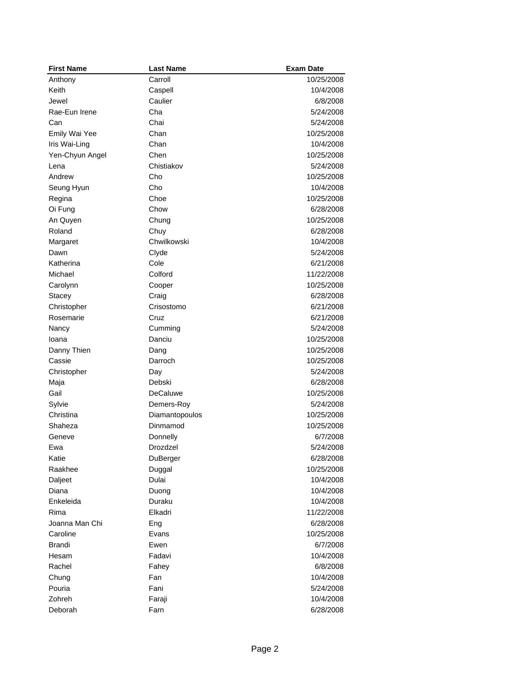| <b>First Name</b>   | <b>Last Name</b>           | <b>Exam Date</b>       |
|---------------------|----------------------------|------------------------|
| Anthony             | Carroll                    | 10/25/2008             |
| Keith               | Caspell                    | 10/4/2008              |
| Jewel               | Caulier                    | 6/8/2008               |
| Rae-Eun Irene       | Cha                        | 5/24/2008              |
| Can                 | Chai                       | 5/24/2008              |
| Emily Wai Yee       | Chan                       | 10/25/2008             |
| Iris Wai-Ling       | Chan                       | 10/4/2008              |
| Yen-Chyun Angel     | Chen                       | 10/25/2008             |
| Lena                | Chistiakov                 | 5/24/2008              |
| Andrew              | Cho                        | 10/25/2008             |
| Seung Hyun          | Cho                        | 10/4/2008              |
| Regina              | Choe                       | 10/25/2008             |
| Oi Fung             | Chow                       | 6/28/2008              |
| An Quyen            | Chung                      | 10/25/2008             |
| Roland              | Chuy                       | 6/28/2008              |
| Margaret            | Chwilkowski                | 10/4/2008              |
| Dawn                | Clyde                      | 5/24/2008              |
| Katherina           | Cole                       | 6/21/2008              |
| Michael             | Colford                    | 11/22/2008             |
| Carolynn            | Cooper                     | 10/25/2008             |
| Stacey              | Craig                      | 6/28/2008              |
| Christopher         | Crisostomo                 | 6/21/2008              |
| Rosemarie           | Cruz                       | 6/21/2008              |
| Nancy               | Cumming                    | 5/24/2008              |
| Ioana               | Danciu                     | 10/25/2008             |
| Danny Thien         | Dang                       | 10/25/2008             |
| Cassie              | Darroch                    | 10/25/2008             |
|                     |                            | 5/24/2008              |
| Christopher         | Day<br>Debski              | 6/28/2008              |
| Maja<br>Gail        | <b>DeCaluwe</b>            |                        |
|                     |                            | 10/25/2008             |
| Sylvie<br>Christina | Demers-Roy                 | 5/24/2008              |
| Shaheza             | Diamantopoulos<br>Dinmamod | 10/25/2008             |
|                     | Donnelly                   | 10/25/2008<br>6/7/2008 |
| Geneve              |                            |                        |
| Ewa                 | Drozdzel                   | 5/24/2008              |
| Katie               | DuBerger                   | 6/28/2008              |
| Raakhee             | Duggal                     | 10/25/2008             |
| Daljeet             | Dulai                      | 10/4/2008              |
| Diana               | Duong                      | 10/4/2008              |
| Enkeleida           | Duraku                     | 10/4/2008              |
| Rima                | Elkadri                    | 11/22/2008             |
| Joanna Man Chi      | Eng                        | 6/28/2008              |
| Caroline            | Evans                      | 10/25/2008             |
| Brandi              | Ewen                       | 6/7/2008               |
| Hesam               | Fadavi                     | 10/4/2008              |
| Rachel              | Fahey                      | 6/8/2008               |
| Chung               | Fan                        | 10/4/2008              |
| Pouria              | Fani                       | 5/24/2008              |
| Zohreh              | Faraji                     | 10/4/2008              |
| Deborah             | Farn                       | 6/28/2008              |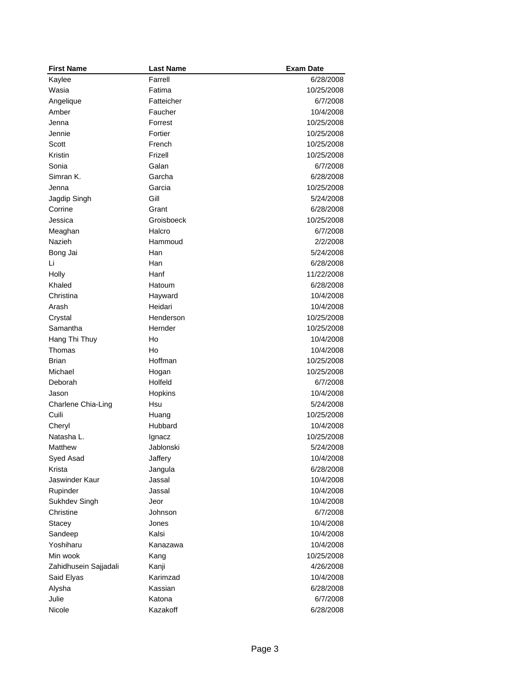| <b>First Name</b>       | <b>Last Name</b> | <b>Exam Date</b> |
|-------------------------|------------------|------------------|
| Kaylee                  | Farrell          | 6/28/2008        |
| Wasia                   | Fatima           | 10/25/2008       |
| Angelique               | Fatteicher       | 6/7/2008         |
| Amber                   | Faucher          | 10/4/2008        |
| Jenna                   | Forrest          | 10/25/2008       |
| Jennie                  | Fortier          | 10/25/2008       |
| Scott                   | French           | 10/25/2008       |
| Kristin                 | Frizell          | 10/25/2008       |
| Sonia                   | Galan            | 6/7/2008         |
| Simran K.               | Garcha           | 6/28/2008        |
| Jenna                   | Garcia           | 10/25/2008       |
| Jagdip Singh            | Gill             | 5/24/2008        |
| Corrine                 | Grant            | 6/28/2008        |
| Jessica                 | Groisboeck       | 10/25/2008       |
| Meaghan                 | Halcro           | 6/7/2008         |
| Nazieh                  | Hammoud          | 2/2/2008         |
| Bong Jai                | Han              | 5/24/2008        |
| Li                      | Han              | 6/28/2008        |
| Holly                   | Hanf             | 11/22/2008       |
| Khaled                  | Hatoum           | 6/28/2008        |
| Christina               | Hayward          | 10/4/2008        |
| Arash                   | Heidari          | 10/4/2008        |
| Crystal                 | Henderson        | 10/25/2008       |
| Samantha                | Hernder          | 10/25/2008       |
|                         | Ho               | 10/4/2008        |
| Hang Thi Thuy<br>Thomas | Ho               | 10/4/2008        |
| <b>Brian</b>            | Hoffman          | 10/25/2008       |
|                         |                  |                  |
| Michael                 | Hogan            | 10/25/2008       |
| Deborah                 | Holfeld          | 6/7/2008         |
| Jason                   | Hopkins          | 10/4/2008        |
| Charlene Chia-Ling      | Hsu              | 5/24/2008        |
| Cuili                   | Huang            | 10/25/2008       |
| Cheryl                  | Hubbard          | 10/4/2008        |
| Natasha L.              | Ignacz           | 10/25/2008       |
| Matthew                 | Jablonski        | 5/24/2008        |
| Syed Asad               | Jaffery          | 10/4/2008        |
| Krista                  | Jangula          | 6/28/2008        |
| Jaswinder Kaur          | Jassal           | 10/4/2008        |
| Rupinder                | Jassal           | 10/4/2008        |
| Sukhdev Singh           | Jeor             | 10/4/2008        |
| Christine               | Johnson          | 6/7/2008         |
| Stacey                  | Jones            | 10/4/2008        |
| Sandeep                 | Kalsi            | 10/4/2008        |
| Yoshiharu               | Kanazawa         | 10/4/2008        |
| Min wook                | Kang             | 10/25/2008       |
| Zahidhusein Sajjadali   | Kanji            | 4/26/2008        |
| Said Elyas              | Karimzad         | 10/4/2008        |
| Alysha                  | Kassian          | 6/28/2008        |
| Julie                   | Katona           | 6/7/2008         |
| Nicole                  | Kazakoff         | 6/28/2008        |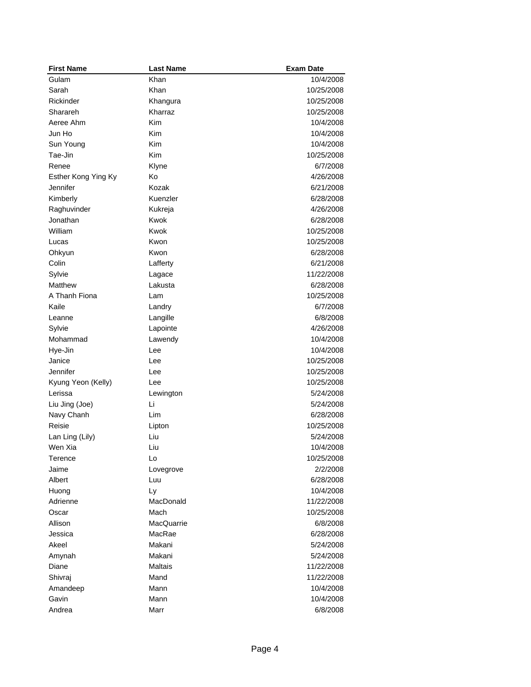| <b>First Name</b>   | <b>Last Name</b> | <b>Exam Date</b> |
|---------------------|------------------|------------------|
| Gulam               | Khan             | 10/4/2008        |
| Sarah               | Khan             | 10/25/2008       |
| Rickinder           | Khangura         | 10/25/2008       |
| Sharareh            | Kharraz          | 10/25/2008       |
| Aeree Ahm           | Kim              | 10/4/2008        |
| Jun Ho              | Kim              | 10/4/2008        |
| Sun Young           | Kim              | 10/4/2008        |
| Tae-Jin             | Kim              | 10/25/2008       |
| Renee               | Klyne            | 6/7/2008         |
| Esther Kong Ying Ky | Ko               | 4/26/2008        |
| Jennifer            | Kozak            | 6/21/2008        |
| Kimberly            | Kuenzler         | 6/28/2008        |
| Raghuvinder         | Kukreja          | 4/26/2008        |
| Jonathan            | Kwok             | 6/28/2008        |
| William             | Kwok             | 10/25/2008       |
| Lucas               | Kwon             | 10/25/2008       |
| Ohkyun              | Kwon             | 6/28/2008        |
| Colin               | Lafferty         | 6/21/2008        |
| Sylvie              | Lagace           | 11/22/2008       |
| Matthew             | Lakusta          | 6/28/2008        |
| A Thanh Fiona       | Lam              | 10/25/2008       |
| Kaile               | Landry           | 6/7/2008         |
| Leanne              | Langille         | 6/8/2008         |
| Sylvie              | Lapointe         | 4/26/2008        |
| Mohammad            | Lawendy          | 10/4/2008        |
| Hye-Jin             | Lee              | 10/4/2008        |
| Janice              | Lee              | 10/25/2008       |
| Jennifer            | Lee              | 10/25/2008       |
| Kyung Yeon (Kelly)  | Lee              | 10/25/2008       |
| Lerissa             | Lewington        | 5/24/2008        |
| Liu Jing (Joe)      | Li               | 5/24/2008        |
| Navy Chanh          | Lim              | 6/28/2008        |
| Reisie              | Lipton           | 10/25/2008       |
| Lan Ling (Lily)     | Liu              | 5/24/2008        |
| Wen Xia             | Liu              | 10/4/2008        |
| Terence             | Lo               | 10/25/2008       |
| Jaime               | Lovegrove        | 2/2/2008         |
| Albert              | Luu              | 6/28/2008        |
| Huong               | Ly               | 10/4/2008        |
| Adrienne            | MacDonald        | 11/22/2008       |
| Oscar               | Mach             | 10/25/2008       |
| Allison             | MacQuarrie       | 6/8/2008         |
| Jessica             | MacRae           | 6/28/2008        |
| Akeel               | Makani           | 5/24/2008        |
| Amynah              | Makani           | 5/24/2008        |
| Diane               | Maltais          | 11/22/2008       |
| Shivraj             | Mand             | 11/22/2008       |
| Amandeep            | Mann             | 10/4/2008        |
| Gavin               | Mann             | 10/4/2008        |
| Andrea              | Marr             | 6/8/2008         |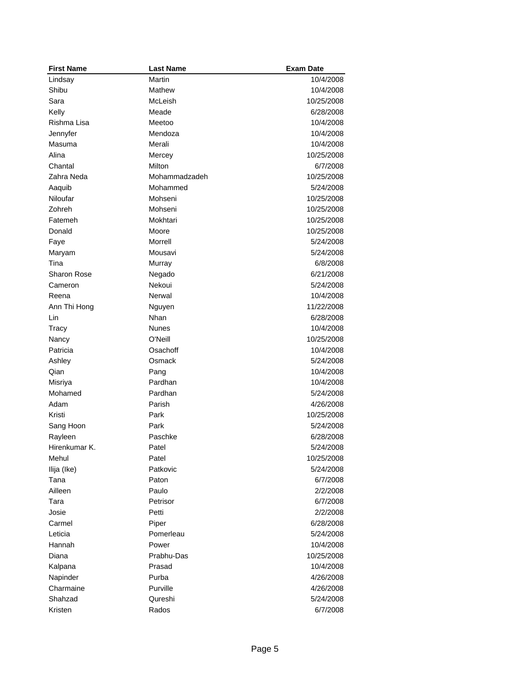| <b>First Name</b> | <b>Last Name</b>   | <b>Exam Date</b>       |
|-------------------|--------------------|------------------------|
| Lindsay           | Martin             | 10/4/2008              |
| Shibu             | Mathew             | 10/4/2008              |
| Sara              | McLeish            | 10/25/2008             |
| Kelly             | Meade              | 6/28/2008              |
| Rishma Lisa       | Meetoo             | 10/4/2008              |
| Jennyfer          | Mendoza            | 10/4/2008              |
| Masuma            | Merali             | 10/4/2008              |
| Alina             | Mercey             | 10/25/2008             |
| Chantal           | Milton             | 6/7/2008               |
| Zahra Neda        | Mohammadzadeh      | 10/25/2008             |
| Aaquib            | Mohammed           | 5/24/2008              |
| Niloufar          | Mohseni            | 10/25/2008             |
| Zohreh            | Mohseni            | 10/25/2008             |
| Fatemeh           | Mokhtari           | 10/25/2008             |
| Donald            | Moore              | 10/25/2008             |
| Faye              | Morrell            | 5/24/2008              |
| Maryam            | Mousavi            | 5/24/2008              |
| Tina              | Murray             | 6/8/2008               |
| Sharon Rose       | Negado             | 6/21/2008              |
| Cameron           | Nekoui             | 5/24/2008              |
| Reena             | Nerwal             | 10/4/2008              |
| Ann Thi Hong      | Nguyen             | 11/22/2008             |
| Lin               | Nhan               | 6/28/2008              |
| Tracy             | <b>Nunes</b>       | 10/4/2008              |
| Nancy             | O'Neill            | 10/25/2008             |
| Patricia          | Osachoff           | 10/4/2008              |
| Ashley            | Osmack             | 5/24/2008              |
| Qian              | Pang               | 10/4/2008              |
| Misriya           | Pardhan            | 10/4/2008              |
| Mohamed           | Pardhan            | 5/24/2008              |
| Adam              | Parish             | 4/26/2008              |
| Kristi            | Park               | 10/25/2008             |
| Sang Hoon         | Park               | 5/24/2008              |
| Rayleen           | Paschke            | 6/28/2008              |
| Hirenkumar K.     | Patel              | 5/24/2008              |
| Mehul             | Patel              | 10/25/2008             |
| Ilija (Ike)       | Patkovic           | 5/24/2008              |
| Tana              | Paton              | 6/7/2008               |
| Ailleen           | Paulo              | 2/2/2008               |
| Tara              | Petrisor           | 6/7/2008               |
| Josie             | Petti              | 2/2/2008               |
| Carmel            |                    |                        |
| Leticia           | Piper<br>Pomerleau | 6/28/2008<br>5/24/2008 |
| Hannah            | Power              | 10/4/2008              |
|                   | Prabhu-Das         |                        |
| Diana             |                    | 10/25/2008             |
| Kalpana           | Prasad             | 10/4/2008              |
| Napinder          | Purba              | 4/26/2008              |
| Charmaine         | Purville           | 4/26/2008              |
| Shahzad           | Qureshi            | 5/24/2008              |
| Kristen           | Rados              | 6/7/2008               |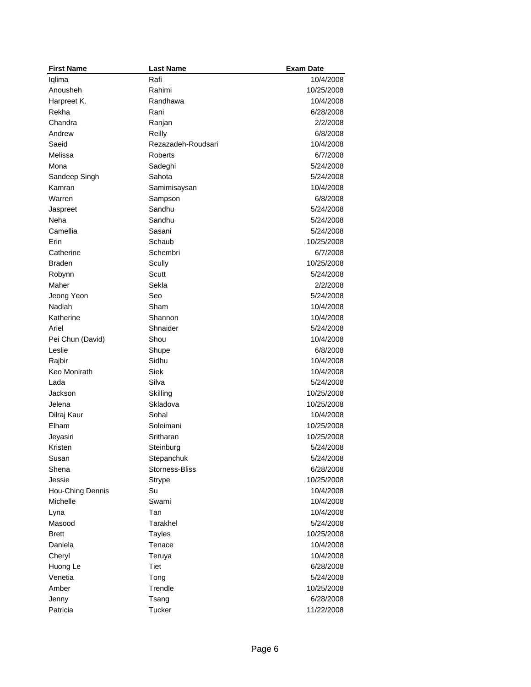| <b>First Name</b> | <b>Last Name</b>        | <b>Exam Date</b> |
|-------------------|-------------------------|------------------|
| Iqlima            | Rafi                    | 10/4/2008        |
| Anousheh          | Rahimi                  | 10/25/2008       |
| Harpreet K.       | Randhawa                | 10/4/2008        |
| Rekha             | Rani                    | 6/28/2008        |
| Chandra           | Ranjan                  | 2/2/2008         |
| Andrew            | Reilly                  | 6/8/2008         |
| Saeid             | Rezazadeh-Roudsari      | 10/4/2008        |
| Melissa           | <b>Roberts</b>          | 6/7/2008         |
| Mona              | Sadeghi                 | 5/24/2008        |
| Sandeep Singh     | Sahota                  | 5/24/2008        |
| Kamran            | Samimisaysan            | 10/4/2008        |
| Warren            | Sampson                 | 6/8/2008         |
| Jaspreet          | Sandhu                  | 5/24/2008        |
| Neha              | Sandhu                  | 5/24/2008        |
| Camellia          | Sasani                  | 5/24/2008        |
| Erin              | Schaub                  | 10/25/2008       |
| Catherine         | Schembri                | 6/7/2008         |
| <b>Braden</b>     | Scully                  | 10/25/2008       |
| Robynn            | <b>Scutt</b>            | 5/24/2008        |
| Maher             | Sekla                   | 2/2/2008         |
| Jeong Yeon        | Seo                     | 5/24/2008        |
| Nadiah            | Sham                    | 10/4/2008        |
| Katherine         | Shannon                 | 10/4/2008        |
| Ariel             | Shnaider                | 5/24/2008        |
| Pei Chun (David)  | Shou                    | 10/4/2008        |
| Leslie            | Shupe                   | 6/8/2008         |
| Rajbir            | Sidhu                   | 10/4/2008        |
| Keo Monirath      | <b>Siek</b>             | 10/4/2008        |
| Lada              | Silva                   | 5/24/2008        |
| Jackson           | Skilling                | 10/25/2008       |
| Jelena            | Skladova                | 10/25/2008       |
| Dilraj Kaur       | Sohal                   | 10/4/2008        |
| Elham             | Soleimani               | 10/25/2008       |
| Jeyasiri          | Sritharan               | 10/25/2008       |
| Kristen           | Steinburg               | 5/24/2008        |
| Susan             | Stepanchuk              | 5/24/2008        |
| Shena             | <b>Storness-Bliss</b>   | 6/28/2008        |
| Jessie            | Strype                  | 10/25/2008       |
| Hou-Ching Dennis  | Su                      | 10/4/2008        |
| Michelle          | Swami                   | 10/4/2008        |
| Lyna              | Tan                     | 10/4/2008        |
| Masood            | Tarakhel                | 5/24/2008        |
| <b>Brett</b>      |                         | 10/25/2008       |
|                   | <b>Tayles</b><br>Tenace | 10/4/2008        |
| Daniela           |                         |                  |
| Cheryl            | Teruya                  | 10/4/2008        |
| Huong Le          | Tiet                    | 6/28/2008        |
| Venetia           | Tong                    | 5/24/2008        |
| Amber             | Trendle                 | 10/25/2008       |
| Jenny             | Tsang                   | 6/28/2008        |
| Patricia          | Tucker                  | 11/22/2008       |